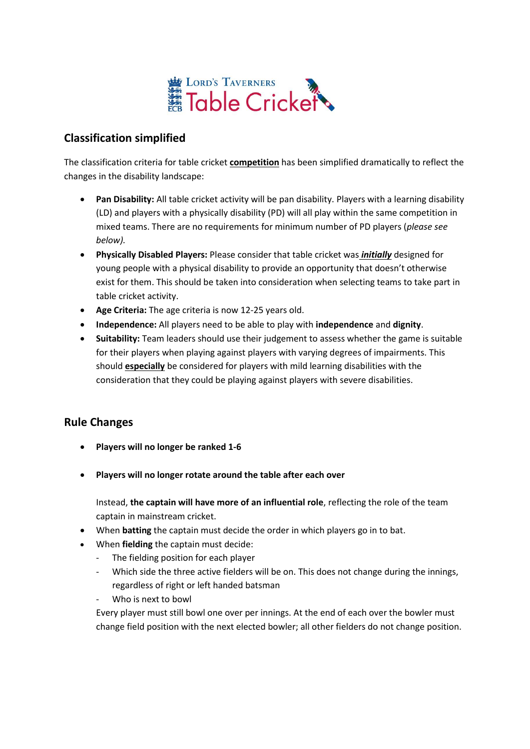

## **Classification simplified**

The classification criteria for table cricket **competition** has been simplified dramatically to reflect the changes in the disability landscape:

- **Pan Disability:** All table cricket activity will be pan disability. Players with a learning disability (LD) and players with a physically disability (PD) will all play within the same competition in mixed teams. There are no requirements for minimum number of PD players (*please see below).*
- **Physically Disabled Players:** Please consider that table cricket was *initially* designed for young people with a physical disability to provide an opportunity that doesn't otherwise exist for them. This should be taken into consideration when selecting teams to take part in table cricket activity.
- **Age Criteria:** The age criteria is now 12-25 years old.
- **Independence:** All players need to be able to play with **independence** and **dignity**.
- **Suitability:** Team leaders should use their judgement to assess whether the game is suitable for their players when playing against players with varying degrees of impairments. This should **especially** be considered for players with mild learning disabilities with the consideration that they could be playing against players with severe disabilities.

## **Rule Changes**

- **Players will no longer be ranked 1-6**
- **Players will no longer rotate around the table after each over**

Instead, **the captain will have more of an influential role**, reflecting the role of the team captain in mainstream cricket.

- When **batting** the captain must decide the order in which players go in to bat.
- When **fielding** the captain must decide:
	- The fielding position for each player
	- Which side the three active fielders will be on. This does not change during the innings, regardless of right or left handed batsman
	- Who is next to bowl

Every player must still bowl one over per innings. At the end of each over the bowler must change field position with the next elected bowler; all other fielders do not change position.